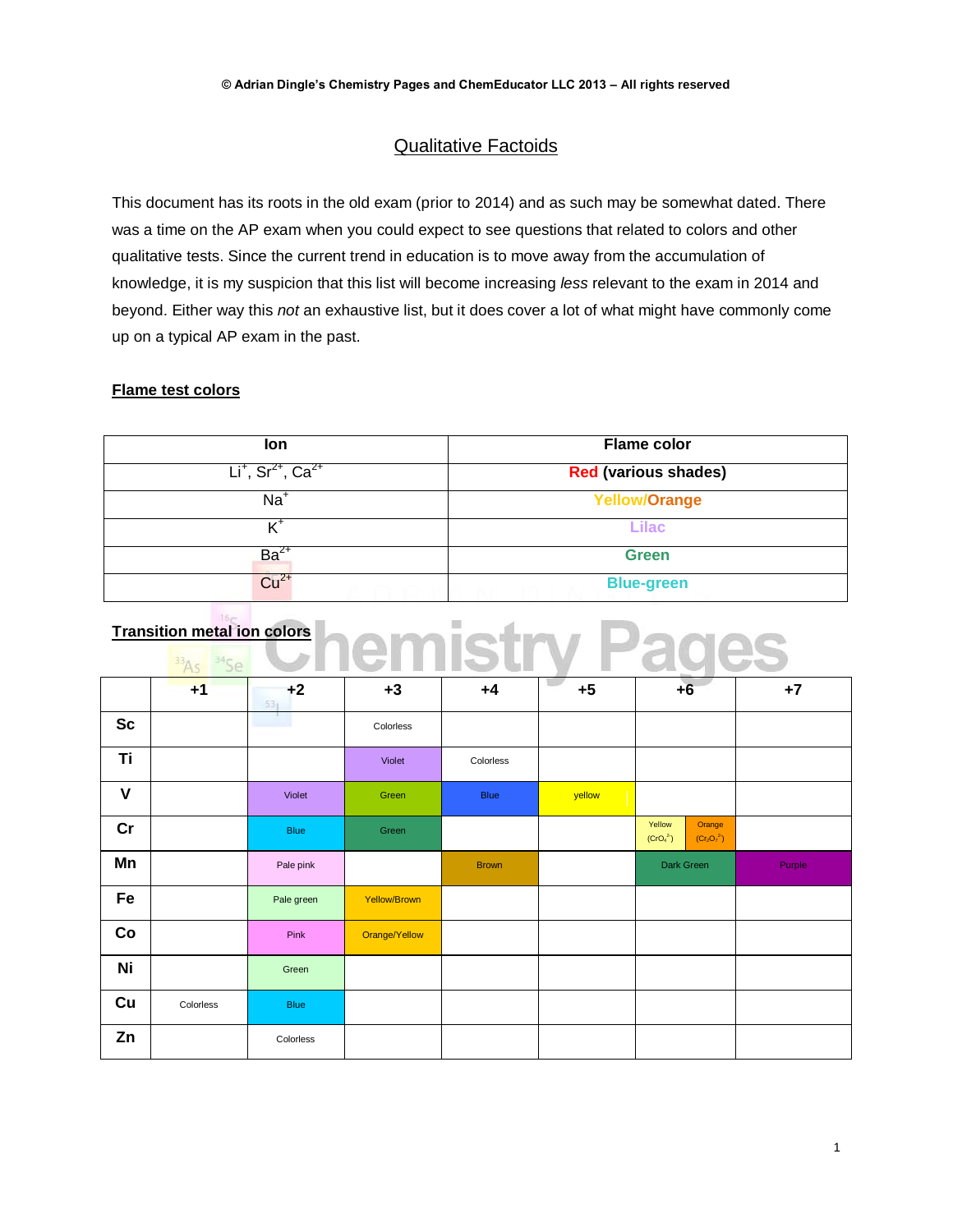## Qualitative Factoids

This document has its roots in the old exam (prior to 2014) and as such may be somewhat dated. There was a time on the AP exam when you could expect to see questions that related to colors and other qualitative tests. Since the current trend in education is to move away from the accumulation of knowledge, it is my suspicion that this list will become increasing *less* relevant to the exam in 2014 and beyond. Either way this *not* an exhaustive list, but it does cover a lot of what might have commonly come up on a typical AP exam in the past.

## **Flame test colors**

| lon.                                        | <b>Flame color</b>          |
|---------------------------------------------|-----------------------------|
| $Li+$ , Sr <sup>2+</sup> , Ca <sup>2+</sup> | <b>Red (various shades)</b> |
| $Na+$                                       | <b>Yellow/Orange</b>        |
| ╱+                                          | <b>Lilac</b>                |
| $Ba2+$                                      | <b>Green</b>                |
| $Cu2+$                                      | <b>Blue-green</b>           |

| <b>Transition metal ion colors</b> |  |  |
|------------------------------------|--|--|
|                                    |  |  |

|              | $+1$      | $+2$<br>53 <sub>1</sub> | $+3$          | $+4$         | $+5$   | $+6$                                                                  | $+7$   |
|--------------|-----------|-------------------------|---------------|--------------|--------|-----------------------------------------------------------------------|--------|
| <b>Sc</b>    |           |                         | Colorless     |              |        |                                                                       |        |
| Ti           |           |                         | Violet        | Colorless    |        |                                                                       |        |
| $\mathsf{V}$ |           | Violet                  | Green         | Blue         | yellow |                                                                       |        |
| cr           |           | <b>Blue</b>             | Green         |              |        | Yellow<br>Orange<br>(CrO <sub>4</sub> <sup>2</sup> )<br>$(Cr_2O_7^2)$ |        |
| Mn           |           | Pale pink               |               | <b>Brown</b> |        | Dark Green                                                            | Purple |
| Fe           |           | Pale green              | Yellow/Brown  |              |        |                                                                       |        |
| Co           |           | Pink                    | Orange/Yellow |              |        |                                                                       |        |
| Ni           |           | Green                   |               |              |        |                                                                       |        |
| Cu           | Colorless | <b>Blue</b>             |               |              |        |                                                                       |        |
| Zn           |           | Colorless               |               |              |        |                                                                       |        |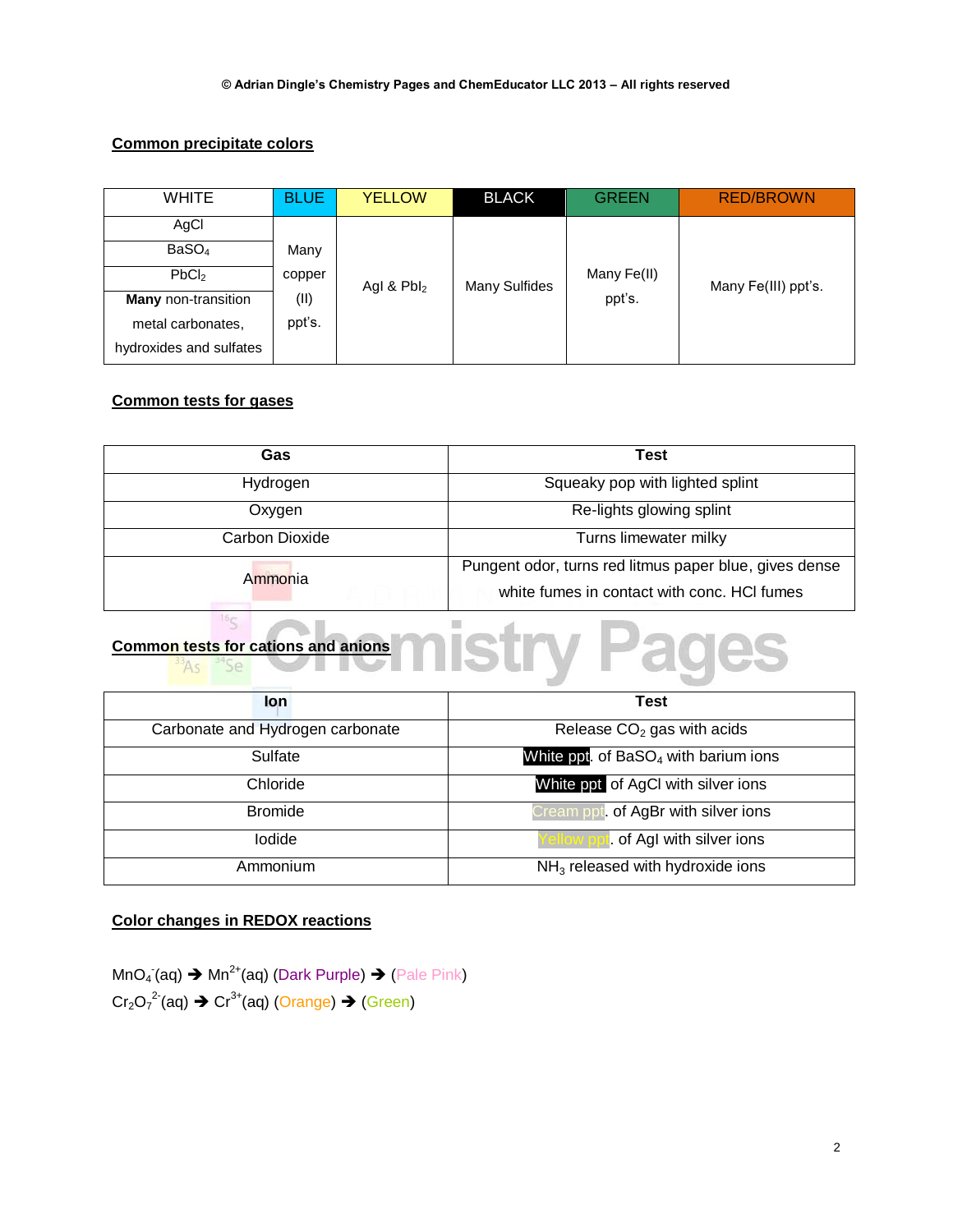### **Common precipitate colors**

| <b>WHITE</b>               | <b>BLUE</b> | <b>YELLOW</b> | <b>BLACK</b>  | <b>GREEN</b> | <b>RED/BROWN</b>    |
|----------------------------|-------------|---------------|---------------|--------------|---------------------|
| AgCl                       |             |               |               |              |                     |
| BaSO <sub>4</sub>          | Many        |               |               |              |                     |
| PbCl <sub>2</sub>          | copper      | Agl & $Pbl_2$ | Many Sulfides | Many Fe(II)  | Many Fe(III) ppt's. |
| <b>Many</b> non-transition | (II)        |               |               | ppt's.       |                     |
| metal carbonates.          | ppt's.      |               |               |              |                     |
| hydroxides and sulfates    |             |               |               |              |                     |

### **Common tests for gases**

| <b>Gas</b>     | <b>Test</b>                                            |
|----------------|--------------------------------------------------------|
| Hydrogen       | Squeaky pop with lighted splint                        |
| Oxygen         | Re-lights glowing splint                               |
| Carbon Dioxide | Turns limewater milky                                  |
| Ammonia        | Pungent odor, turns red litmus paper blue, gives dense |
|                | white fumes in contact with conc. HCI fumes            |

# **Common tests for cations and anions**

| lon                              | <b>Test</b>                                      |
|----------------------------------|--------------------------------------------------|
| Carbonate and Hydrogen carbonate | Release $CO2$ gas with acids                     |
| Sulfate                          | White ppt. of BaSO <sub>4</sub> with barium ions |
| Chloride                         | White ppt of AgCI with silver ions               |
| <b>Bromide</b>                   | Cream ppt. of AgBr with silver ions              |
| lodide                           | of AgI with silver ions                          |
| Ammonium                         | $NH3$ released with hydroxide ions               |

## **Color changes in REDOX reactions**

MnO<sub>4</sub> (aq)  $\rightarrow$  Mn<sup>2+</sup>(aq) (Dark Purple)  $\rightarrow$  (Pale Pink)  $Cr_2O_7^2$  (aq)  $\rightarrow$   $Cr^{3+}$ (aq) (Orange)  $\rightarrow$  (Green)